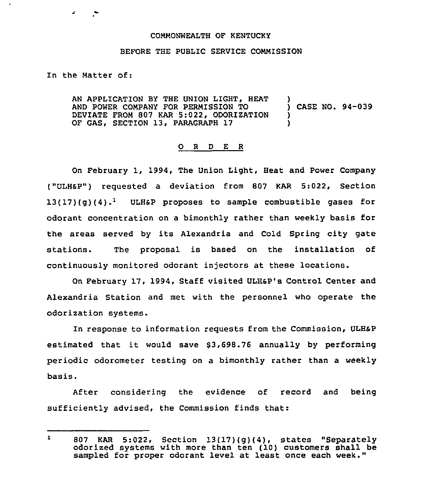## COMMONWEALTH OF KENTUCKY

## BEFORE THE PUBLIC SERVICE COMMISSION

## In the Matter of:

AN APPLICATION BY THE UNION LIGHT, HEAT AND POWER COMPANY FOR PERMISSION TO DEVIATE FROM 807 KAR 5:022, ODORIZATION OF GAS, SECTION 13, PARAGRAPH 17 ) ) CASE NO. 94-039 ) )

## 0 <sup>R</sup> <sup>D</sup> E <sup>R</sup>

On February 1, 1994, The Union Light, Heat and Power Company ("ULHSP") requested a deviation from 807 KAR 5:022, Section  $13(17)(q)(4).$ <sup>1</sup> ULH&P proposes to sample combustible gases for odorant concentration on a bimonthly rather than weekly basis for the areas served by its Alexandria and Cold Spring city gate stations. The proposal is based on the installation of continuously monitored odorant injectors at these locations.

On February 17, 1994, Staff visited ULHap's Control Center and Alexandria Station and met with the personnel who operate the odorization systems.

In response to information requests from the Commission, ULHSP estimated that it would save \$3,698.76 annually by performing periodic odorometer testing on a bimonthly rather than a weekly basis.

After considering the evidence of record and being sufficiently advised, the Commission finds that:

 $\mathbf{1}$ 807 KAR 5:022, Section 13(17)(g)(4), states "Separately odorized systems with more than ten (10) customers shall be sampled for proper odorant level at least once each week."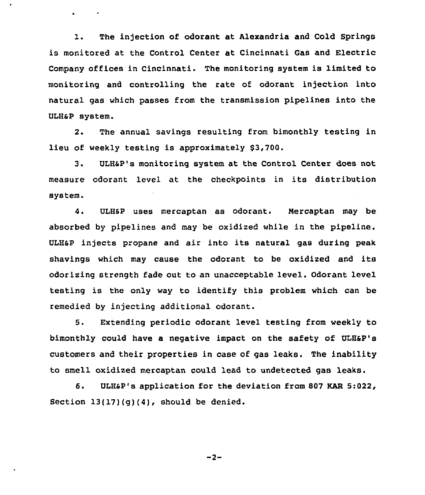1. The injection of odorant at Alexandria and Cold Springs is monitored at the Control Center at Cincinnati Gas and Electric Company offices in Cincinnati. The monitoring system is limited to monitoring and controlling the rate of odorant injection into natural gas which passes from the transmission pipelines into the ULH&P system.

 $\cdot$ 

**Contract State** 

2. The annual savings resulting from bimonthly testing in lieu of weekly testing is approximately \$3,700.

3. ULHsp's monitoring system at the control center does not measure odorant level at the checkpoints in its distribution system.

4. ULHsp uses mercaptan as odorant. Nercaptan may be absorbed by pipelines and may be oxidized while in the pipeline. ULHSp injects propane and air into its natural gas during peak shavings which may cause the odorant to be oxidized and its odorizing strength fade out to an unacceptable level. Odorant level testing is the only way to identify this problem which can be remedied by injecting additional odorant.

5. Extending periodic odorant level testing from weekly to bimonthly could have a negative impact on the safety of ULH&P's customers and their properties in case of gas leaks. The inability to smell oxidized mercaptan could lead to undetected gas leaks.

6. ULHSP's application for the deviation from 807 KAR 5:022, Section  $13(17)(g)(4)$ , should be denied.

 $-2-$